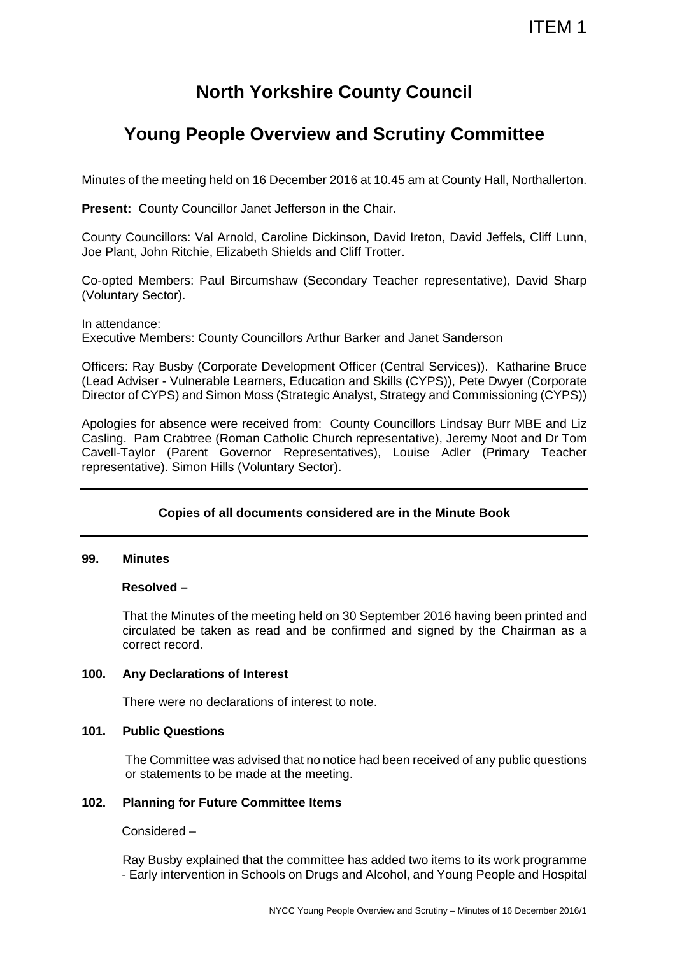## **North Yorkshire County Council**

# **Young People Overview and Scrutiny Committee**

Minutes of the meeting held on 16 December 2016 at 10.45 am at County Hall, Northallerton.

**Present: County Councillor Janet Jefferson in the Chair.** 

County Councillors: Val Arnold, Caroline Dickinson, David Ireton, David Jeffels, Cliff Lunn, Joe Plant, John Ritchie, Elizabeth Shields and Cliff Trotter.

Co-opted Members: Paul Bircumshaw (Secondary Teacher representative), David Sharp (Voluntary Sector).

In attendance: Executive Members: County Councillors Arthur Barker and Janet Sanderson

Officers: Ray Busby (Corporate Development Officer (Central Services)). Katharine Bruce (Lead Adviser - Vulnerable Learners, Education and Skills (CYPS)), Pete Dwyer (Corporate Director of CYPS) and Simon Moss (Strategic Analyst, Strategy and Commissioning (CYPS))

Apologies for absence were received from: County Councillors Lindsay Burr MBE and Liz Casling. Pam Crabtree (Roman Catholic Church representative), Jeremy Noot and Dr Tom Cavell-Taylor (Parent Governor Representatives), Louise Adler (Primary Teacher representative). Simon Hills (Voluntary Sector).

## **Copies of all documents considered are in the Minute Book**

### **99. Minutes**

### **Resolved –**

That the Minutes of the meeting held on 30 September 2016 having been printed and circulated be taken as read and be confirmed and signed by the Chairman as a correct record.

### **100. Any Declarations of Interest**

There were no declarations of interest to note.

#### **101. Public Questions**

The Committee was advised that no notice had been received of any public questions or statements to be made at the meeting.

### **102. Planning for Future Committee Items**

Considered –

 Ray Busby explained that the committee has added two items to its work programme - Early intervention in Schools on Drugs and Alcohol, and Young People and Hospital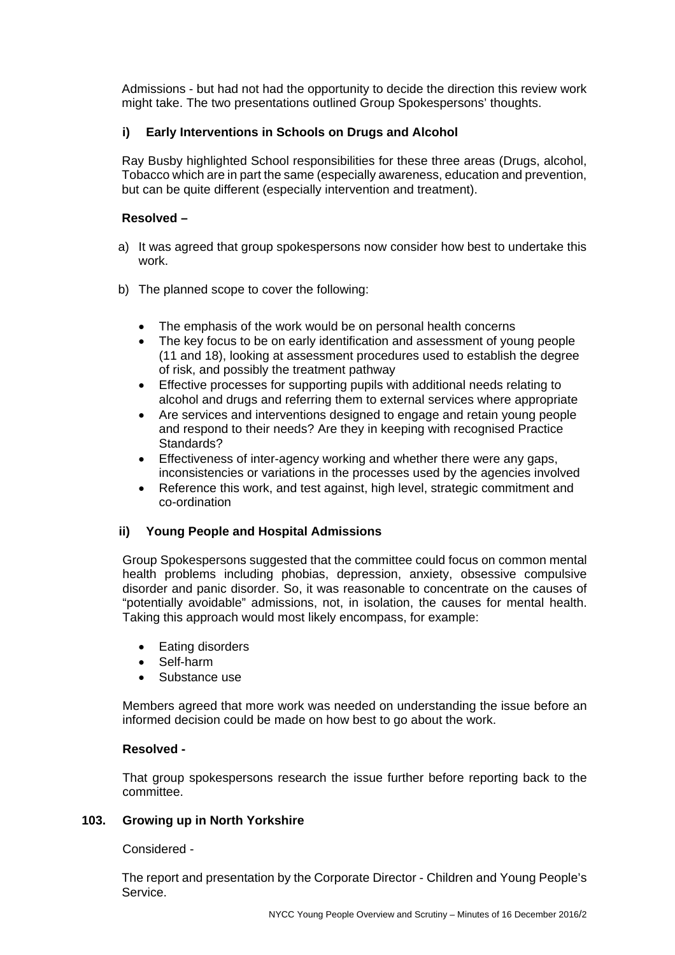Admissions - but had not had the opportunity to decide the direction this review work might take. The two presentations outlined Group Spokespersons' thoughts.

## **i) Early Interventions in Schools on Drugs and Alcohol**

Ray Busby highlighted School responsibilities for these three areas (Drugs, alcohol, Tobacco which are in part the same (especially awareness, education and prevention, but can be quite different (especially intervention and treatment).

## **Resolved –**

- a) It was agreed that group spokespersons now consider how best to undertake this work.
- b) The planned scope to cover the following:
	- The emphasis of the work would be on personal health concerns
	- The key focus to be on early identification and assessment of young people (11 and 18), looking at assessment procedures used to establish the degree of risk, and possibly the treatment pathway
	- Effective processes for supporting pupils with additional needs relating to alcohol and drugs and referring them to external services where appropriate
	- Are services and interventions designed to engage and retain young people and respond to their needs? Are they in keeping with recognised Practice Standards?
	- Effectiveness of inter-agency working and whether there were any gaps, inconsistencies or variations in the processes used by the agencies involved
	- Reference this work, and test against, high level, strategic commitment and co-ordination

### **ii) Young People and Hospital Admissions**

Group Spokespersons suggested that the committee could focus on common mental health problems including phobias, depression, anxiety, obsessive compulsive disorder and panic disorder. So, it was reasonable to concentrate on the causes of "potentially avoidable" admissions, not, in isolation, the causes for mental health. Taking this approach would most likely encompass, for example:

- Eating disorders
- Self-harm
- Substance use

Members agreed that more work was needed on understanding the issue before an informed decision could be made on how best to go about the work.

### **Resolved -**

That group spokespersons research the issue further before reporting back to the committee.

#### **103. Growing up in North Yorkshire**

Considered -

The report and presentation by the Corporate Director - Children and Young People's Service.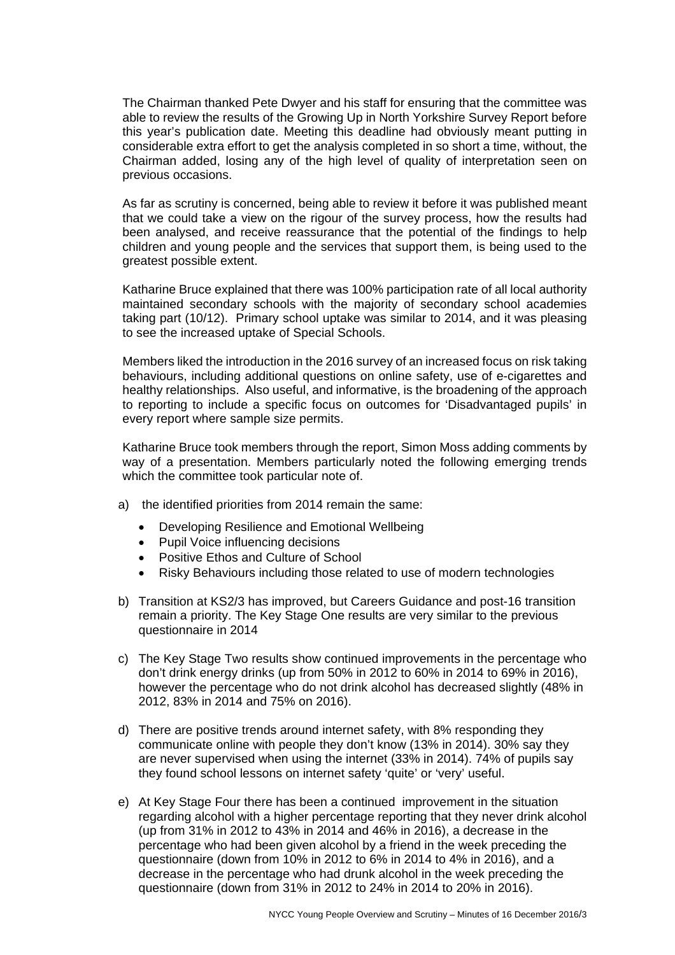The Chairman thanked Pete Dwyer and his staff for ensuring that the committee was able to review the results of the Growing Up in North Yorkshire Survey Report before this year's publication date. Meeting this deadline had obviously meant putting in considerable extra effort to get the analysis completed in so short a time, without, the Chairman added, losing any of the high level of quality of interpretation seen on previous occasions.

As far as scrutiny is concerned, being able to review it before it was published meant that we could take a view on the rigour of the survey process, how the results had been analysed, and receive reassurance that the potential of the findings to help children and young people and the services that support them, is being used to the greatest possible extent.

Katharine Bruce explained that there was 100% participation rate of all local authority maintained secondary schools with the majority of secondary school academies taking part (10/12). Primary school uptake was similar to 2014, and it was pleasing to see the increased uptake of Special Schools.

Members liked the introduction in the 2016 survey of an increased focus on risk taking behaviours, including additional questions on online safety, use of e-cigarettes and healthy relationships. Also useful, and informative, is the broadening of the approach to reporting to include a specific focus on outcomes for 'Disadvantaged pupils' in every report where sample size permits.

Katharine Bruce took members through the report, Simon Moss adding comments by way of a presentation. Members particularly noted the following emerging trends which the committee took particular note of.

- a) the identified priorities from 2014 remain the same:
	- Developing Resilience and Emotional Wellbeing
	- Pupil Voice influencing decisions
	- Positive Ethos and Culture of School
	- Risky Behaviours including those related to use of modern technologies
- b) Transition at KS2/3 has improved, but Careers Guidance and post-16 transition remain a priority. The Key Stage One results are very similar to the previous questionnaire in 2014
- c) The Key Stage Two results show continued improvements in the percentage who don't drink energy drinks (up from 50% in 2012 to 60% in 2014 to 69% in 2016), however the percentage who do not drink alcohol has decreased slightly (48% in 2012, 83% in 2014 and 75% on 2016).
- d) There are positive trends around internet safety, with 8% responding they communicate online with people they don't know (13% in 2014). 30% say they are never supervised when using the internet (33% in 2014). 74% of pupils say they found school lessons on internet safety 'quite' or 'very' useful.
- e) At Key Stage Four there has been a continued improvement in the situation regarding alcohol with a higher percentage reporting that they never drink alcohol (up from 31% in 2012 to 43% in 2014 and 46% in 2016), a decrease in the percentage who had been given alcohol by a friend in the week preceding the questionnaire (down from 10% in 2012 to 6% in 2014 to 4% in 2016), and a decrease in the percentage who had drunk alcohol in the week preceding the questionnaire (down from 31% in 2012 to 24% in 2014 to 20% in 2016).